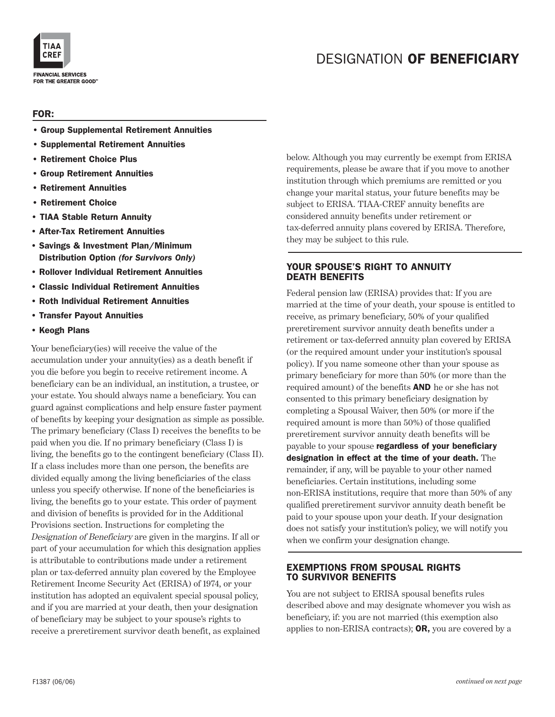

### FOR:

- Group Supplemental Retirement Annuities
- Supplemental Retirement Annuities
- Retirement Choice Plus
- Group Retirement Annuities
- Retirement Annuities
- Retirement Choice
- TIAA Stable Return Annuity
- After-Tax Retirement Annuities
- Savings & Investment Plan/Minimum Distribution Option *(for Survivors Only)*
- Rollover Individual Retirement Annuities
- Classic Individual Retirement Annuities
- Roth Individual Retirement Annuities
- Transfer Payout Annuities
- Keogh Plans

Your beneficiary(ies) will receive the value of the accumulation under your annuity(ies) as a death benefit if you die before you begin to receive retirement income. A beneficiary can be an individual, an institution, a trustee, or your estate. You should always name a beneficiary. You can guard against complications and help ensure faster payment of benefits by keeping your designation as simple as possible. The primary beneficiary (Class I) receives the benefits to be paid when you die. If no primary beneficiary (Class I) is living, the benefits go to the contingent beneficiary (Class II). If a class includes more than one person, the benefits are divided equally among the living beneficiaries of the class unless you specify otherwise. If none of the beneficiaries is living, the benefits go to your estate. This order of payment and division of benefits is provided for in the Additional Provisions section. Instructions for completing the Designation of Beneficiary are given in the margins. If all or part of your accumulation for which this designation applies is attributable to contributions made under a retirement plan or tax-deferred annuity plan covered by the Employee Retirement Income Security Act (ERISA) of 1974, or your institution has adopted an equivalent special spousal policy, and if you are married at your death, then your designation of beneficiary may be subject to your spouse's rights to receive a preretirement survivor death benefit, as explained

below. Although you may currently be exempt from ERISA requirements, please be aware that if you move to another institution through which premiums are remitted or you change your marital status, your future benefits may be subject to ERISA. TIAA-CREF annuity benefits are considered annuity benefits under retirement or tax-deferred annuity plans covered by ERISA. Therefore, they may be subject to this rule.

### YOUR SPOUSE'S RIGHT TO ANNUITY DEATH BENEFITS

Federal pension law (ERISA) provides that: If you are married at the time of your death, your spouse is entitled to receive, as primary beneficiary, 50% of your qualified preretirement survivor annuity death benefits under a retirement or tax-deferred annuity plan covered by ERISA (or the required amount under your institution's spousal policy). If you name someone other than your spouse as primary beneficiary for more than 50% (or more than the required amount) of the benefits AND he or she has not consented to this primary beneficiary designation by completing a Spousal Waiver, then 50% (or more if the required amount is more than 50%) of those qualified preretirement survivor annuity death benefits will be payable to your spouse regardless of your beneficiary designation in effect at the time of your death. The remainder, if any, will be payable to your other named beneficiaries. Certain institutions, including some non-ERISA institutions, require that more than 50% of any qualified preretirement survivor annuity death benefit be paid to your spouse upon your death. If your designation does not satisfy your institution's policy, we will notify you when we confirm your designation change.

### EXEMPTIONS FROM SPOUSAL RIGHTS TO SURVIVOR BENEFITS

You are not subject to ERISA spousal benefits rules described above and may designate whomever you wish as beneficiary, if: you are not married (this exemption also applies to non-ERISA contracts); OR, you are covered by a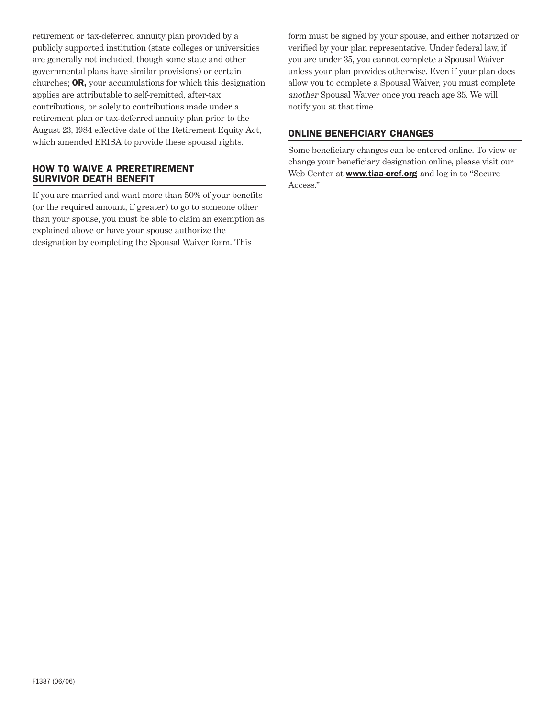retirement or tax-deferred annuity plan provided by a publicly supported institution (state colleges or universities are generally not included, though some state and other governmental plans have similar provisions) or certain churches; OR, your accumulations for which this designation applies are attributable to self-remitted, after-tax contributions, or solely to contributions made under a retirement plan or tax-deferred annuity plan prior to the August 23, 1984 effective date of the Retirement Equity Act, which amended ERISA to provide these spousal rights.

### HOW TO WAIVE A PRERETIREMENT SURVIVOR DEATH BENEFIT

If you are married and want more than 50% of your benefits (or the required amount, if greater) to go to someone other than your spouse, you must be able to claim an exemption as explained above or have your spouse authorize the designation by completing the Spousal Waiver form. This

form must be signed by your spouse, and either notarized or verified by your plan representative. Under federal law, if you are under 35, you cannot complete a Spousal Waiver unless your plan provides otherwise. Even if your plan does allow you to complete a Spousal Waiver, you must complete another Spousal Waiver once you reach age 35. We will notify you at that time.

## ONLINE BENEFICIARY CHANGES

Some beneficiary changes can be entered online. To view or change your beneficiary designation online, please visit our Web Center at **www.tiaa-cref.org** and log in to "Secure Access."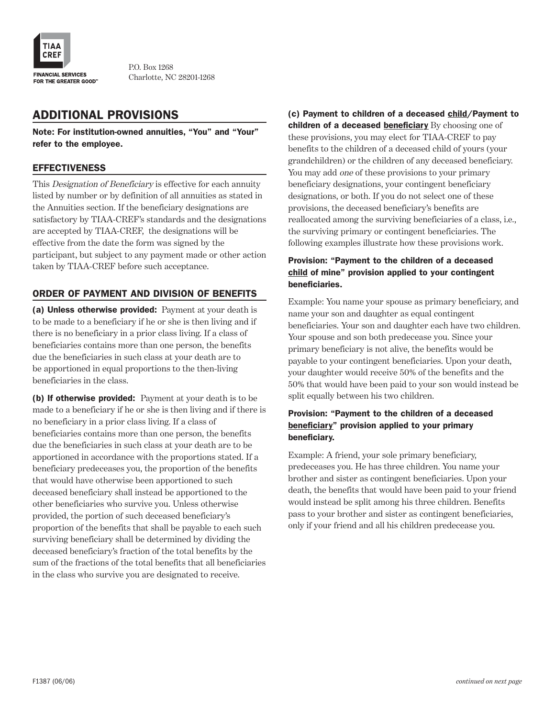

P.O. Box 1268 Charlotte, NC 28201-1268

## ADDITIONAL PROVISIONS

Note: For institution-owned annuities, "You" and "Your" refer to the employee.

### **EFFECTIVENESS**

This Designation of Beneficiary is effective for each annuity listed by number or by definition of all annuities as stated in the Annuities section. If the beneficiary designations are satisfactory by TIAA-CREF's standards and the designations are accepted by TIAA-CREF, the designations will be effective from the date the form was signed by the participant, but subject to any payment made or other action taken by TIAA-CREF before such acceptance.

### ORDER OF PAYMENT AND DIVISION OF BENEFITS

(a) Unless otherwise provided: Payment at your death is to be made to a beneficiary if he or she is then living and if there is no beneficiary in a prior class living. If a class of beneficiaries contains more than one person, the benefits due the beneficiaries in such class at your death are to be apportioned in equal proportions to the then-living beneficiaries in the class.

(b) If otherwise provided: Payment at your death is to be made to a beneficiary if he or she is then living and if there is no beneficiary in a prior class living. If a class of beneficiaries contains more than one person, the benefits due the beneficiaries in such class at your death are to be apportioned in accordance with the proportions stated. If a beneficiary predeceases you, the proportion of the benefits that would have otherwise been apportioned to such deceased beneficiary shall instead be apportioned to the other beneficiaries who survive you. Unless otherwise provided, the portion of such deceased beneficiary's proportion of the benefits that shall be payable to each such surviving beneficiary shall be determined by dividing the deceased beneficiary's fraction of the total benefits by the sum of the fractions of the total benefits that all beneficiaries in the class who survive you are designated to receive.

(c) Payment to children of a deceased child/Payment to children of a deceased beneficiary By choosing one of these provisions, you may elect for TIAA-CREF to pay benefits to the children of a deceased child of yours (your grandchildren) or the children of any deceased beneficiary. You may add one of these provisions to your primary beneficiary designations, your contingent beneficiary designations, or both. If you do not select one of these provisions, the deceased beneficiary's benefits are reallocated among the surviving beneficiaries of a class, i.e., the surviving primary or contingent beneficiaries. The following examples illustrate how these provisions work.

### Provision: "Payment to the children of a deceased child of mine" provision applied to your contingent beneficiaries.

Example: You name your spouse as primary beneficiary, and name your son and daughter as equal contingent beneficiaries. Your son and daughter each have two children. Your spouse and son both predecease you. Since your primary beneficiary is not alive, the benefits would be payable to your contingent beneficiaries. Upon your death, your daughter would receive 50% of the benefits and the 50% that would have been paid to your son would instead be split equally between his two children.

### Provision: "Payment to the children of a deceased beneficiary" provision applied to your primary beneficiary.

Example: A friend, your sole primary beneficiary, predeceases you. He has three children. You name your brother and sister as contingent beneficiaries. Upon your death, the benefits that would have been paid to your friend would instead be split among his three children. Benefits pass to your brother and sister as contingent beneficiaries, only if your friend and all his children predecease you.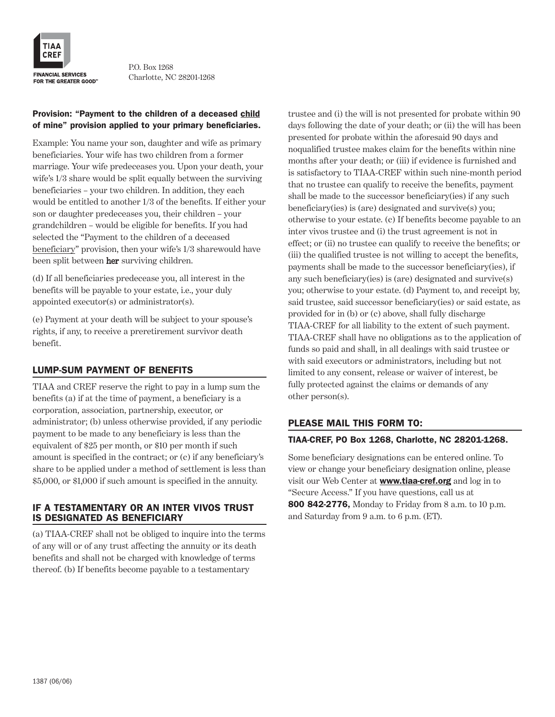

P.O. Box 1268 Charlotte, NC 28201-1268

### Provision: "Payment to the children of a deceased child of mine" provision applied to your primary beneficiaries.

Example: You name your son, daughter and wife as primary beneficiaries. Your wife has two children from a former marriage. Your wife predeceases you. Upon your death, your wife's 1/3 share would be split equally between the surviving beneficiaries – your two children. In addition, they each would be entitled to another 1/3 of the benefits. If either your son or daughter predeceases you, their children – your grandchildren – would be eligible for benefits. If you had selected the "Payment to the children of a deceased beneficiary" provision, then your wife's 1/3 sharewould have been split between her surviving children.

(d) If all beneficiaries predecease you, all interest in the benefits will be payable to your estate, i.e., your duly appointed executor(s) or administrator(s).

(e) Payment at your death will be subject to your spouse's rights, if any, to receive a preretirement survivor death benefit.

### LUMP-SUM PAYMENT OF BENEFITS

TIAA and CREF reserve the right to pay in a lump sum the benefits (a) if at the time of payment, a beneficiary is a corporation, association, partnership, executor, or administrator; (b) unless otherwise provided, if any periodic payment to be made to any beneficiary is less than the equivalent of \$25 per month, or \$10 per month if such amount is specified in the contract; or (c) if any beneficiary's share to be applied under a method of settlement is less than \$5,000, or \$1,000 if such amount is specified in the annuity.

### IF A TESTAMENTARY OR AN INTER VIVOS TRUST IS DESIGNATED AS BENEFICIARY

(a) TIAA-CREF shall not be obliged to inquire into the terms of any will or of any trust affecting the annuity or its death benefits and shall not be charged with knowledge of terms thereof. (b) If benefits become payable to a testamentary

trustee and (i) the will is not presented for probate within 90 days following the date of your death; or (ii) the will has been presented for probate within the aforesaid 90 days and noqualified trustee makes claim for the benefits within nine months after your death; or (iii) if evidence is furnished and is satisfactory to TIAA-CREF within such nine-month period that no trustee can qualify to receive the benefits, payment shall be made to the successor beneficiary(ies) if any such beneficiary(ies) is (are) designated and survive(s) you; otherwise to your estate. (c) If benefits become payable to an inter vivos trustee and (i) the trust agreement is not in effect; or (ii) no trustee can qualify to receive the benefits; or (iii) the qualified trustee is not willing to accept the benefits, payments shall be made to the successor beneficiary(ies), if any such beneficiary(ies) is (are) designated and survive(s) you; otherwise to your estate. (d) Payment to, and receipt by, said trustee, said successor beneficiary(ies) or said estate, as provided for in (b) or (c) above, shall fully discharge TIAA-CREF for all liability to the extent of such payment. TIAA-CREF shall have no obligations as to the application of funds so paid and shall, in all dealings with said trustee or with said executors or administrators, including but not limited to any consent, release or waiver of interest, be fully protected against the claims or demands of any other person(s).

### PLEASE MAIL THIS FORM TO:

### TIAA-CREF, PO Box 1268, Charlotte, NC 28201-1268.

Some beneficiary designations can be entered online. To view or change your beneficiary designation online, please visit our Web Center at **www.tiaa-cref.org** and log in to "Secure Access." If you have questions, call us at 800 842-2776, Monday to Friday from 8 a.m. to 10 p.m. and Saturday from 9 a.m. to 6 p.m. (ET).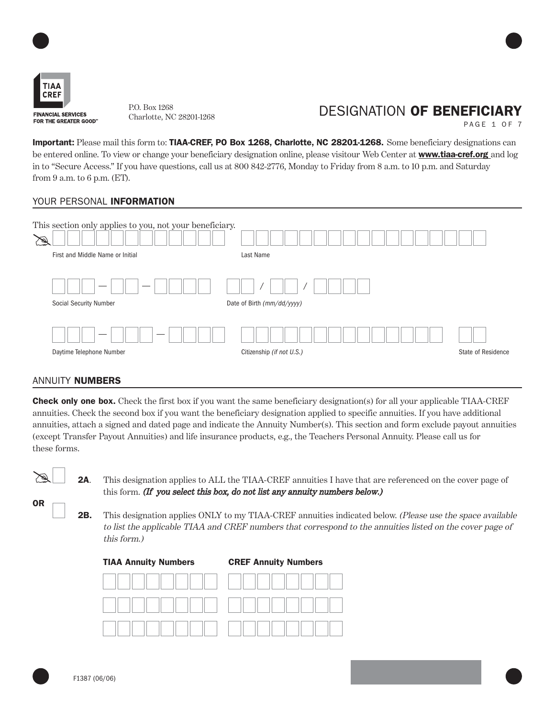

Charlotte, NC 28201-1268

## P.O. Box 1268<br>
DESIGNATION **OF BENEFICIARY**

PAGE 1 OF 7

Important: Please mail this form to: TIAA-CREF, PO Box 1268, Charlotte, NC 28201-1268. Some beneficiary designations can be entered online. To view or change your beneficiary designation online, please visitour Web Center at **www.tiaa-cref.org** and log in to "Secure Access." If you have questions, call us at 800 842-2776, Monday to Friday from 8 a.m. to 10 p.m. and Saturday from 9 a.m. to 6 p.m. (ET).

### YOUR PERSONAL **INFORMATION**

| This section only applies to you, not your beneficiary.<br>First and Middle Name or Initial | Last Name                  |                    |
|---------------------------------------------------------------------------------------------|----------------------------|--------------------|
| <b>Social Security Number</b>                                                               | Date of Birth (mm/dd/yyyy) |                    |
| Daytime Telephone Number                                                                    | Citizenship (if not U.S.)  | State of Residence |

### ANNUITY NUMBERS

**Check only one box.** Check the first box if you want the same beneficiary designation(s) for all your applicable TIAA-CREF annuities. Check the second box if you want the beneficiary designation applied to specific annuities. If you have additional annuities, attach a signed and dated page and indicate the Annuity Number(s). This section and form exclude payout annuities (except Transfer Payout Annuities) and life insurance products, e.g., the Teachers Personal Annuity. Please call us for these forms.



OR

**2A.** This designation applies to ALL the TIAA-CREF annuities I have that are referenced on the cover page of this form. (If you select this box, do not list any annuity numbers below.)

**2B.** This designation applies ONLY to my TIAA-CREF annuities indicated below. (Please use the space available to list the applicable TIAA and CREF numbers that correspond to the annuities listed on the cover page of this form.)

TIAA Annuity Numbers CREF Annuity Numbers

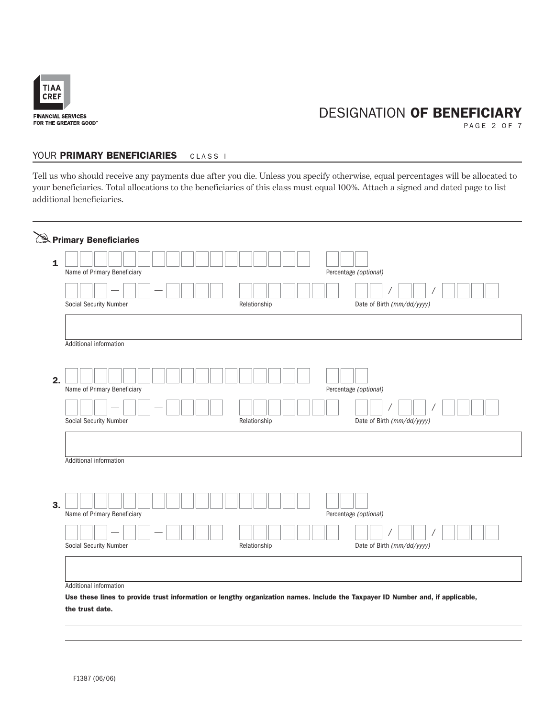

PAGE 2 OF 7

### YOUR PRIMARY BENEFICIARIES CLASS I

Tell us who should receive any payments due after you die. Unless you specify otherwise, equal percentages will be allocated to your beneficiaries. Total allocations to the beneficiaries of this class must equal 100%. Attach a signed and dated page to list additional beneficiaries.

| Name of Primary Beneficiary       |              | Percentage (optional)      |
|-----------------------------------|--------------|----------------------------|
| Social Security Number            | Relationship | Date of Birth (mm/dd/yyyy) |
| Additional information            |              |                            |
| 2.<br>Name of Primary Beneficiary |              | Percentage (optional)      |
| Social Security Number            | Relationship | Date of Birth (mm/dd/yyyy) |
| Additional information            |              |                            |
| 3.<br>Name of Primary Beneficiary |              | Percentage (optional)      |
| Social Security Number            | Relationship | Date of Birth (mm/dd/yyyy) |
|                                   |              |                            |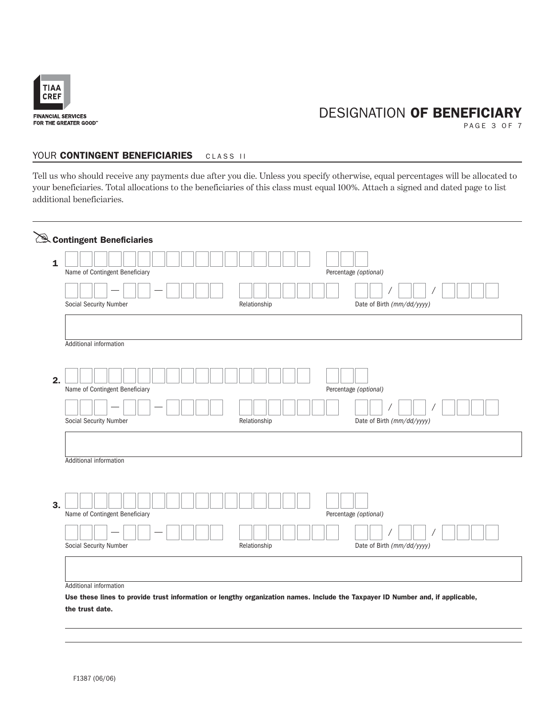

PAGE 3 OF 7

#### YOUR CONTINGENT BENEFICIARIES CLASS II

Tell us who should receive any payments due after you die. Unless you specify otherwise, equal percentages will be allocated to your beneficiaries. Total allocations to the beneficiaries of this class must equal 100%. Attach a signed and dated page to list additional beneficiaries.

| $\mathbf{1}$ | Name of Contingent Beneficiary |              | Percentage (optional)      |
|--------------|--------------------------------|--------------|----------------------------|
|              |                                |              |                            |
|              | Social Security Number         | Relationship | Date of Birth (mm/dd/yyyy) |
|              | Additional information         |              |                            |
|              |                                |              |                            |
| 2.           | Name of Contingent Beneficiary |              | Percentage (optional)      |
|              |                                |              |                            |
|              | Social Security Number         | Relationship | Date of Birth (mm/dd/yyyy) |
|              | Additional information         |              |                            |
|              |                                |              |                            |
| 3.           |                                |              |                            |
|              | Name of Contingent Beneficiary |              | Percentage (optional)      |
|              |                                |              |                            |
|              | Social Security Number         | Relationship | Date of Birth (mm/dd/yyyy) |
|              |                                |              |                            |
|              |                                |              |                            |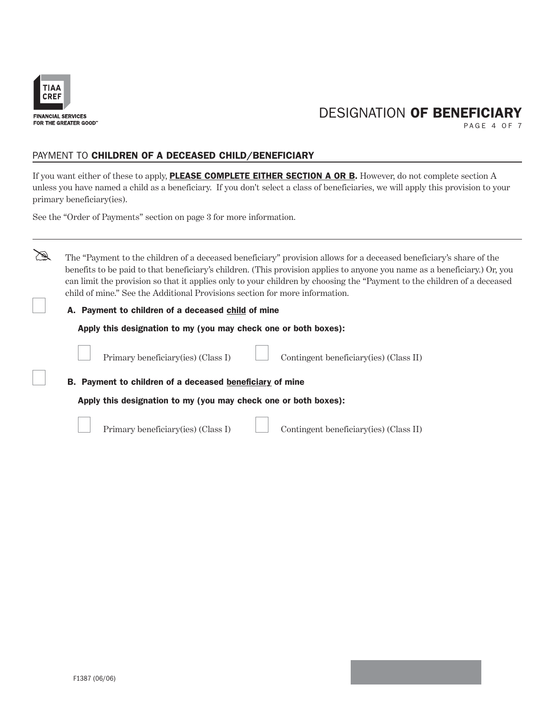

PAGE 4 OF 7

### PAYMENT TO CHILDREN OF A DECEASED CHILD/BENEFICIARY

If you want either of these to apply, **PLEASE COMPLETE EITHER SECTION A OR B.** However, do not complete section A unless you have named a child as a beneficiary. If you don't select a class of beneficiaries, we will apply this provision to your primary beneficiary(ies).

See the "Order of Payments" section on page 3 for more information.



The "Payment to the children of a deceased beneficiary" provision allows for a deceased beneficiary's share of the benefits to be paid to that beneficiary's children. (This provision applies to anyone you name as a beneficiary.) Or, you can limit the provision so that it applies only to your children by choosing the "Payment to the children of a deceased child of mine." See the Additional Provisions section for more information.

### A. Payment to children of a deceased child of mine

Apply this designation to my (you may check one or both boxes):



Primary beneficiary(ies) (Class I) Contingent beneficiary(ies) (Class II)

B. Payment to children of a deceased beneficiary of mine

Apply this designation to my (you may check one or both boxes):



Primary beneficiary(ies) (Class I) Contingent beneficiary(ies) (Class II)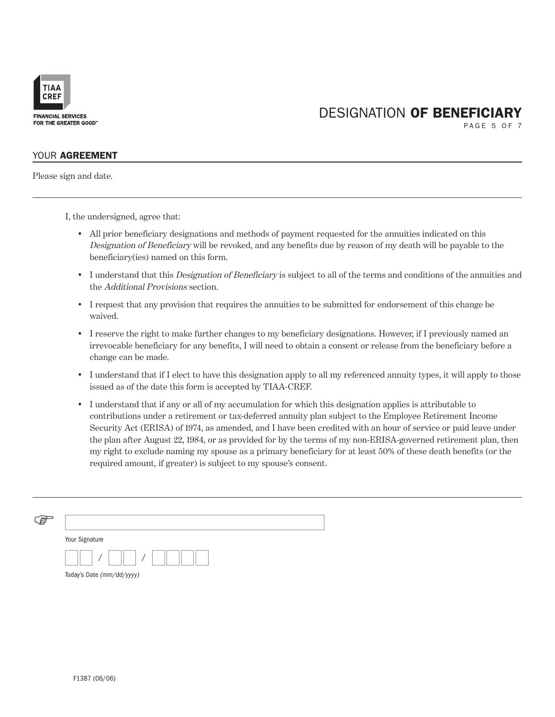

PAGE 5 OF 7

### YOUR AGREEMENT

Please sign and date.

I, the undersigned, agree that:

- All prior beneficiary designations and methods of payment requested for the annuities indicated on this Designation of Beneficiary will be revoked, and any benefits due by reason of my death will be payable to the beneficiary(ies) named on this form.
- I understand that this Designation of Beneficiary is subject to all of the terms and conditions of the annuities and the Additional Provisions section.
- I request that any provision that requires the annuities to be submitted for endorsement of this change be waived.
- I reserve the right to make further changes to my beneficiary designations. However, if I previously named an irrevocable beneficiary for any benefits, I will need to obtain a consent or release from the beneficiary before a change can be made.
- I understand that if I elect to have this designation apply to all my referenced annuity types, it will apply to those issued as of the date this form is accepted by TIAA-CREF.
- I understand that if any or all of my accumulation for which this designation applies is attributable to contributions under a retirement or tax-deferred annuity plan subject to the Employee Retirement Income Security Act (ERISA) of 1974, as amended, and I have been credited with an hour of service or paid leave under the plan after August 22, 1984, or as provided for by the terms of my non-ERISA-governed retirement plan, then my right to exclude naming my spouse as a primary beneficiary for at least 50% of these death benefits (or the required amount, if greater) is subject to my spouse's consent.

| Your Signature            |
|---------------------------|
|                           |
| Today's Date (mm/dd/yyyy) |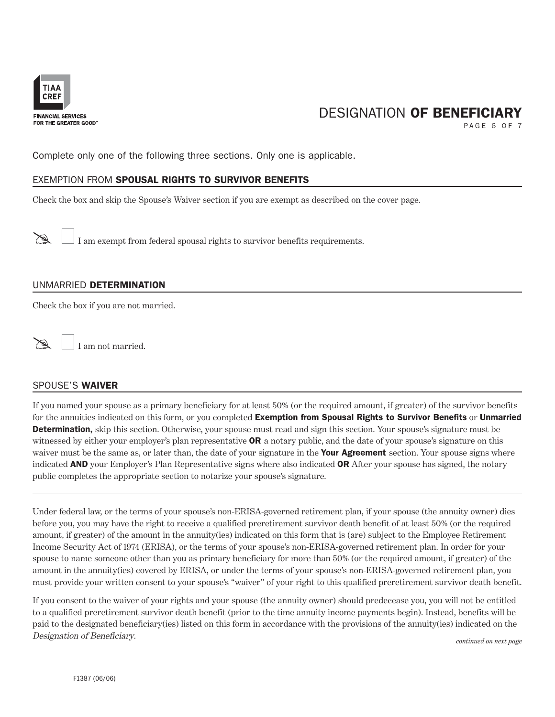

PAGE 6 OF 7

Complete only one of the following three sections. Only one is applicable.

### EXEMPTION FROM SPOUSAL RIGHTS TO SURVIVOR BENEFITS

Check the box and skip the Spouse's Waiver section if you are exempt as described on the cover page.

 $\mathbb{R}$  I am exempt from federal spousal rights to survivor benefits requirements.

### UNMARRIED DETERMINATION

Check the box if you are not married.

I am not married.

### SPOUSE'S WAIVER

If you named your spouse as a primary beneficiary for at least 50% (or the required amount, if greater) of the survivor benefits for the annuities indicated on this form, or you completed Exemption from Spousal Rights to Survivor Benefits or Unmarried **Determination**, skip this section. Otherwise, your spouse must read and sign this section. Your spouse's signature must be witnessed by either your employer's plan representative  $\overline{OR}$  a notary public, and the date of your spouse's signature on this waiver must be the same as, or later than, the date of your signature in the **Your Agreement** section. Your spouse signs where indicated **AND** your Employer's Plan Representative signs where also indicated **OR** After your spouse has signed, the notary public completes the appropriate section to notarize your spouse's signature.

Under federal law, or the terms of your spouse's non-ERISA-governed retirement plan, if your spouse (the annuity owner) dies before you, you may have the right to receive a qualified preretirement survivor death benefit of at least 50% (or the required amount, if greater) of the amount in the annuity(ies) indicated on this form that is (are) subject to the Employee Retirement Income Security Act of 1974 (ERISA), or the terms of your spouse's non-ERISA-governed retirement plan. In order for your spouse to name someone other than you as primary beneficiary for more than 50% (or the required amount, if greater) of the amount in the annuity(ies) covered by ERISA, or under the terms of your spouse's non-ERISA-governed retirement plan, you must provide your written consent to your spouse's "waiver" of your right to this qualified preretirement survivor death benefit.

If you consent to the waiver of your rights and your spouse (the annuity owner) should predecease you, you will not be entitled to a qualified preretirement survivor death benefit (prior to the time annuity income payments begin). Instead, benefits will be paid to the designated beneficiary(ies) listed on this form in accordance with the provisions of the annuity(ies) indicated on the Designation of Beneficiary. *continued on next page*